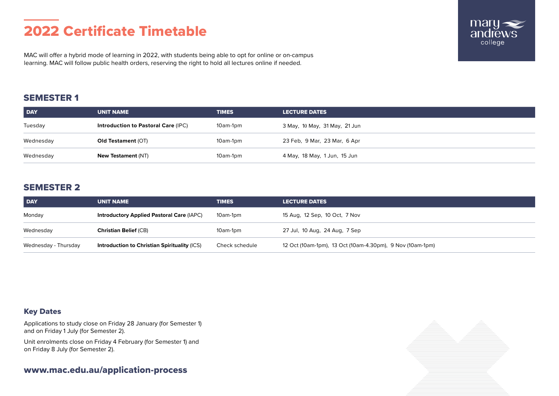# 2022 Certificate Timetable

MAC will offer a hybrid mode of learning in 2022, with students being able to opt for online or on-campus learning. MAC will follow public health orders, reserving the right to hold all lectures online if needed.

## SEMESTER 1

| <b>DAY</b> | <b>UNIT NAME</b>                           | <b>TIMES</b> | <b>LECTURE DATES</b>          |
|------------|--------------------------------------------|--------------|-------------------------------|
| Tuesday    | <b>Introduction to Pastoral Care (IPC)</b> | 10am-1pm     | 3 May, 10 May, 31 May, 21 Jun |
| Wednesday  | <b>Old Testament (OT)</b>                  | 10am-1pm     | 23 Feb, 9 Mar, 23 Mar, 6 Apr  |
| Wednesday  | <b>New Testament (NT)</b>                  | 10am-1pm     | 4 May, 18 May, 1 Jun, 15 Jun  |

## SEMESTER 2

| <b>DAY</b>           | <b>UNIT NAME</b>                                 | <b>TIMES</b>   | <b>LECTURE DATES</b>                                      |
|----------------------|--------------------------------------------------|----------------|-----------------------------------------------------------|
| Monday               | <b>Introductory Applied Pastoral Care (IAPC)</b> | 10am-1pm       | 15 Aug, 12 Sep, 10 Oct, 7 Nov                             |
| Wednesday            | <b>Christian Belief (CB)</b>                     | 10am-1pm       | 27 Jul, 10 Aug, 24 Aug, 7 Sep                             |
| Wednesday - Thursday | Introduction to Christian Spirituality (ICS)     | Check schedule | 12 Oct (10am-1pm), 13 Oct (10am-4.30pm), 9 Nov (10am-1pm) |

### Key Dates

Applications to study close on Friday 28 January (for Semester 1) and on Friday 1 July (for Semester 2).

Unit enrolments close on Friday 4 February (for Semester 1) and on Friday 8 July (for Semester 2).

<www.mac.edu.au/application-process>